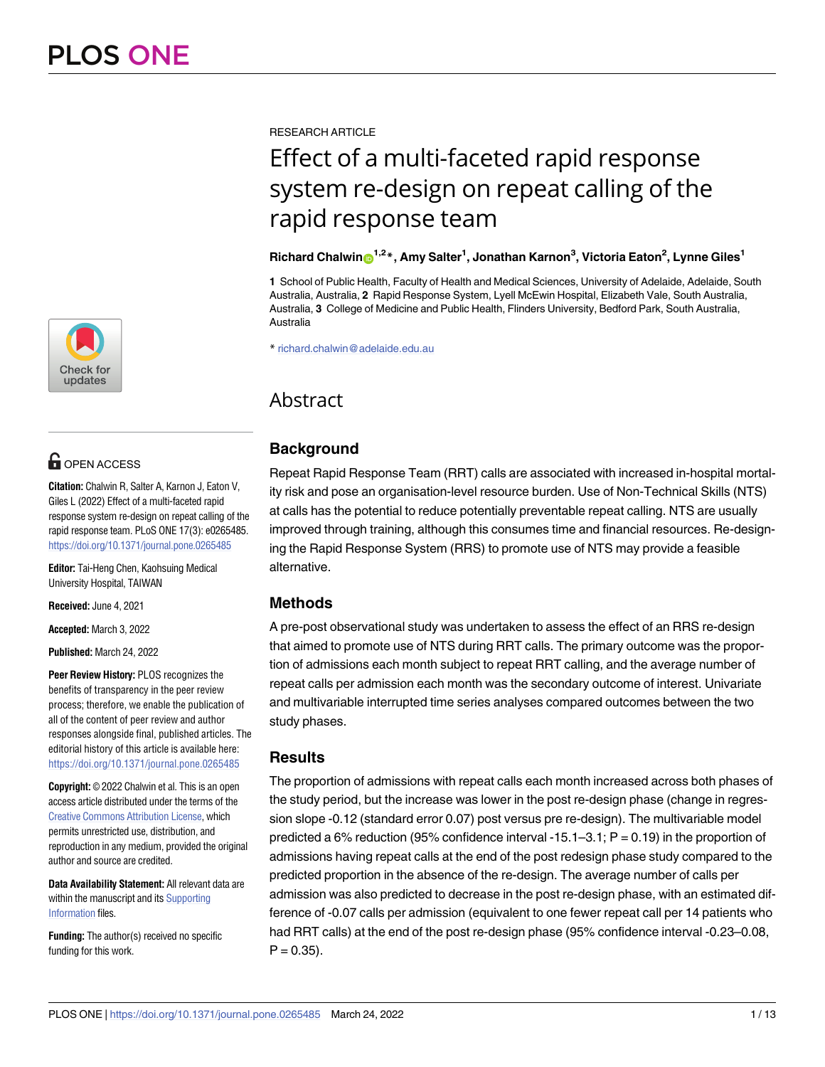

## **O** OPEN ACCESS

**Citation:** Chalwin R, Salter A, Karnon J, Eaton V, Giles L (2022) Effect of a multi-faceted rapid response system re-design on repeat calling of the rapid response team. PLoS ONE 17(3): e0265485. <https://doi.org/10.1371/journal.pone.0265485>

**Editor:** Tai-Heng Chen, Kaohsuing Medical University Hospital, TAIWAN

**Received:** June 4, 2021

**Accepted:** March 3, 2022

**Published:** March 24, 2022

**Peer Review History:** PLOS recognizes the benefits of transparency in the peer review process; therefore, we enable the publication of all of the content of peer review and author responses alongside final, published articles. The editorial history of this article is available here: <https://doi.org/10.1371/journal.pone.0265485>

**Copyright:** © 2022 Chalwin et al. This is an open access article distributed under the terms of the Creative Commons [Attribution](http://creativecommons.org/licenses/by/4.0/) License, which permits unrestricted use, distribution, and reproduction in any medium, provided the original author and source are credited.

**Data Availability Statement:** All relevant data are within the manuscript and its [Supporting](#page-10-0) [Information](#page-10-0) files.

**Funding:** The author(s) received no specific funding for this work.

RESEARCH ARTICLE

# Effect of a multi-faceted rapid response system re-design on repeat calling of the rapid response team

## $R$ ichard Chalwin $\mathbf{O}^{1,2\,*}$ , Amy Salter<sup>1</sup>, Jonathan Karnon<sup>3</sup>, Victoria Eaton<sup>2</sup>, Lynne Giles<sup>1</sup>

**1** School of Public Health, Faculty of Health and Medical Sciences, University of Adelaide, Adelaide, South Australia, Australia, **2** Rapid Response System, Lyell McEwin Hospital, Elizabeth Vale, South Australia, Australia, **3** College of Medicine and Public Health, Flinders University, Bedford Park, South Australia, Australia

\* richard.chalwin@adelaide.edu.au

## Abstract

## **Background**

Repeat Rapid Response Team (RRT) calls are associated with increased in-hospital mortality risk and pose an organisation-level resource burden. Use of Non-Technical Skills (NTS) at calls has the potential to reduce potentially preventable repeat calling. NTS are usually improved through training, although this consumes time and financial resources. Re-designing the Rapid Response System (RRS) to promote use of NTS may provide a feasible alternative.

## **Methods**

A pre-post observational study was undertaken to assess the effect of an RRS re-design that aimed to promote use of NTS during RRT calls. The primary outcome was the proportion of admissions each month subject to repeat RRT calling, and the average number of repeat calls per admission each month was the secondary outcome of interest. Univariate and multivariable interrupted time series analyses compared outcomes between the two study phases.

### **Results**

The proportion of admissions with repeat calls each month increased across both phases of the study period, but the increase was lower in the post re-design phase (change in regression slope -0.12 (standard error 0.07) post versus pre re-design). The multivariable model predicted a 6% reduction (95% confidence interval -15.1–3.1;  $P = 0.19$ ) in the proportion of admissions having repeat calls at the end of the post redesign phase study compared to the predicted proportion in the absence of the re-design. The average number of calls per admission was also predicted to decrease in the post re-design phase, with an estimated difference of -0.07 calls per admission (equivalent to one fewer repeat call per 14 patients who had RRT calls) at the end of the post re-design phase (95% confidence interval -0.23–0.08,  $P = 0.35$ ).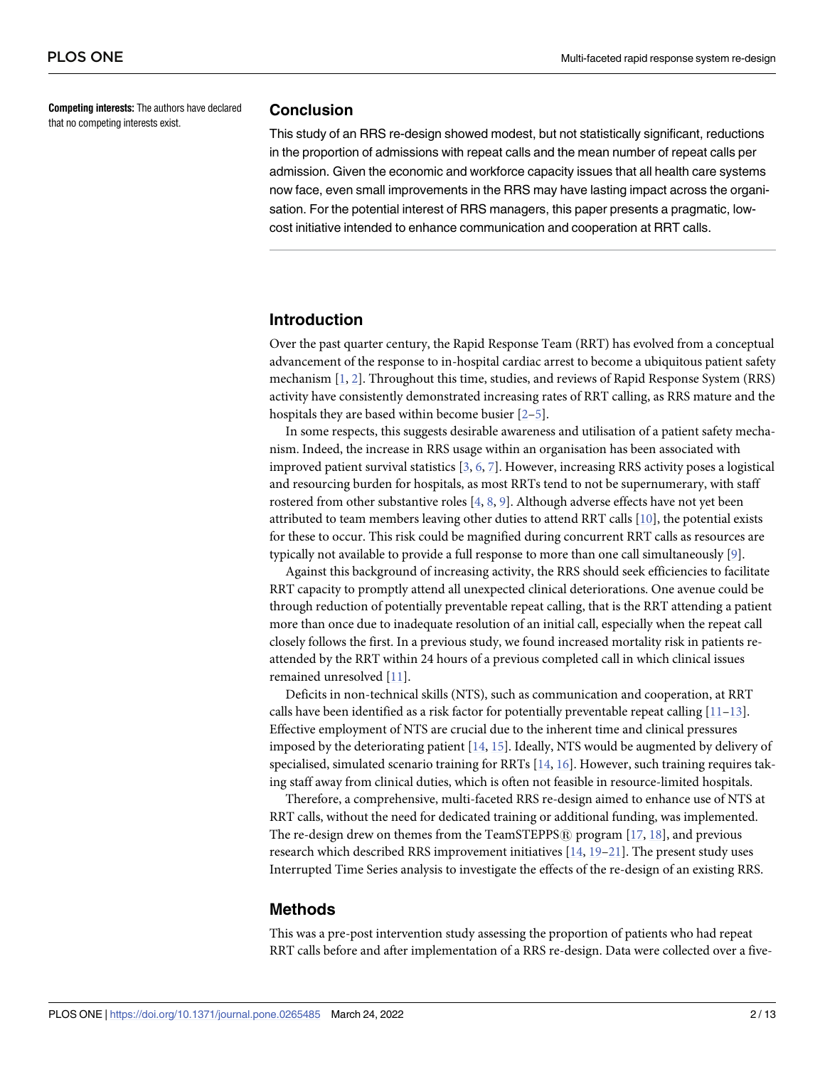<span id="page-1-0"></span>**Competing interests:** The authors have declared that no competing interests exist.

#### **Conclusion**

This study of an RRS re-design showed modest, but not statistically significant, reductions in the proportion of admissions with repeat calls and the mean number of repeat calls per admission. Given the economic and workforce capacity issues that all health care systems now face, even small improvements in the RRS may have lasting impact across the organisation. For the potential interest of RRS managers, this paper presents a pragmatic, lowcost initiative intended to enhance communication and cooperation at RRT calls.

#### **Introduction**

Over the past quarter century, the Rapid Response Team (RRT) has evolved from a conceptual advancement of the response to in-hospital cardiac arrest to become a ubiquitous patient safety mechanism [[1,](#page-11-0) [2\]](#page-11-0). Throughout this time, studies, and reviews of Rapid Response System (RRS) activity have consistently demonstrated increasing rates of RRT calling, as RRS mature and the hospitals they are based within become busier [\[2–5](#page-11-0)].

In some respects, this suggests desirable awareness and utilisation of a patient safety mechanism. Indeed, the increase in RRS usage within an organisation has been associated with improved patient survival statistics [[3,](#page-11-0) [6,](#page-11-0) [7](#page-11-0)]. However, increasing RRS activity poses a logistical and resourcing burden for hospitals, as most RRTs tend to not be supernumerary, with staff rostered from other substantive roles [\[4](#page-11-0), [8](#page-11-0), [9](#page-11-0)]. Although adverse effects have not yet been attributed to team members leaving other duties to attend RRT calls [[10](#page-11-0)], the potential exists for these to occur. This risk could be magnified during concurrent RRT calls as resources are typically not available to provide a full response to more than one call simultaneously [[9\]](#page-11-0).

Against this background of increasing activity, the RRS should seek efficiencies to facilitate RRT capacity to promptly attend all unexpected clinical deteriorations. One avenue could be through reduction of potentially preventable repeat calling, that is the RRT attending a patient more than once due to inadequate resolution of an initial call, especially when the repeat call closely follows the first. In a previous study, we found increased mortality risk in patients reattended by the RRT within 24 hours of a previous completed call in which clinical issues remained unresolved [[11](#page-11-0)].

Deficits in non-technical skills (NTS), such as communication and cooperation, at RRT calls have been identified as a risk factor for potentially preventable repeat calling  $[11-13]$  $[11-13]$  $[11-13]$  $[11-13]$  $[11-13]$ . Effective employment of NTS are crucial due to the inherent time and clinical pressures imposed by the deteriorating patient [[14](#page-12-0), [15](#page-12-0)]. Ideally, NTS would be augmented by delivery of specialised, simulated scenario training for RRTs [\[14,](#page-12-0) [16](#page-12-0)]. However, such training requires taking staff away from clinical duties, which is often not feasible in resource-limited hospitals.

Therefore, a comprehensive, multi-faceted RRS re-design aimed to enhance use of NTS at RRT calls, without the need for dedicated training or additional funding, was implemented. The re-design drew on themes from the TeamSTEPPS $\widehat{R}$  program [[17](#page-12-0), [18](#page-12-0)], and previous research which described RRS improvement initiatives  $[14, 19-21]$  $[14, 19-21]$ . The present study uses Interrupted Time Series analysis to investigate the effects of the re-design of an existing RRS.

### **Methods**

This was a pre-post intervention study assessing the proportion of patients who had repeat RRT calls before and after implementation of a RRS re-design. Data were collected over a five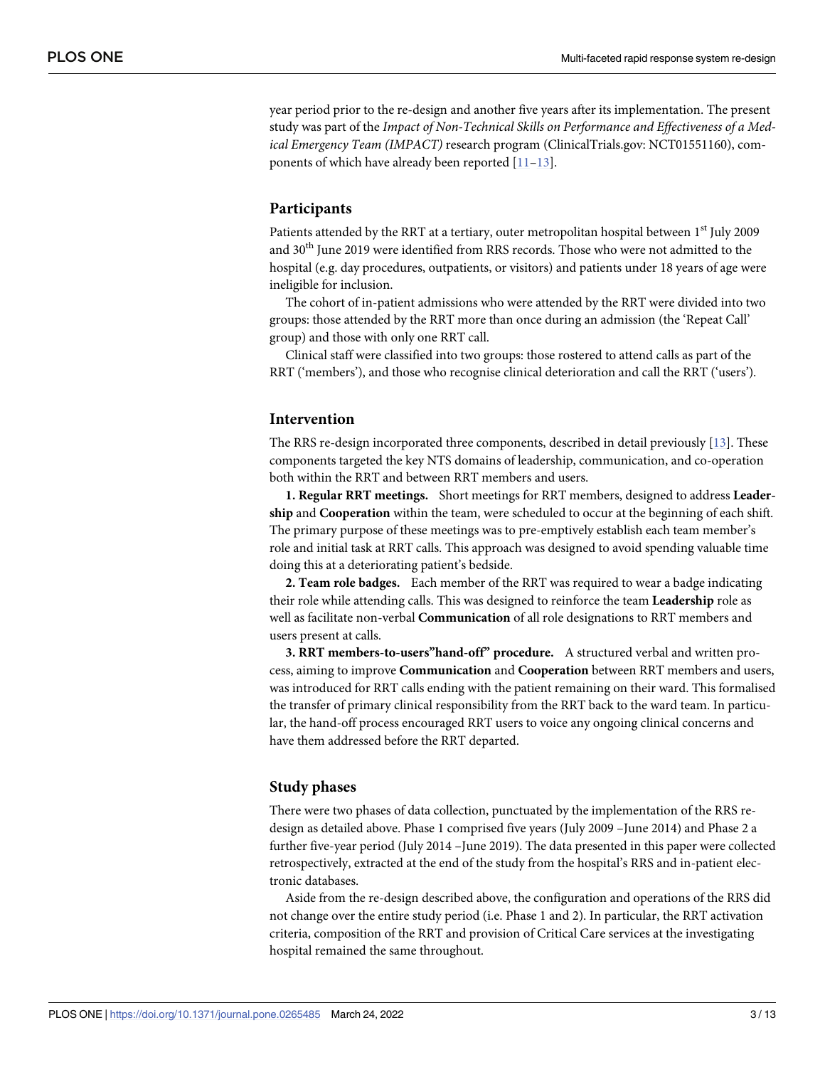<span id="page-2-0"></span>year period prior to the re-design and another five years after its implementation. The present study was part of the *Impact of Non-Technical Skills on Performance and Effectiveness of a Medical Emergency Team (IMPACT)* research program (ClinicalTrials.gov: NCT01551160), components of which have already been reported [[11–13\]](#page-11-0).

#### **Participants**

Patients attended by the RRT at a tertiary, outer metropolitan hospital between 1<sup>st</sup> July 2009 and 30<sup>th</sup> June 2019 were identified from RRS records. Those who were not admitted to the hospital (e.g. day procedures, outpatients, or visitors) and patients under 18 years of age were ineligible for inclusion.

The cohort of in-patient admissions who were attended by the RRT were divided into two groups: those attended by the RRT more than once during an admission (the 'Repeat Call' group) and those with only one RRT call.

Clinical staff were classified into two groups: those rostered to attend calls as part of the RRT ('members'), and those who recognise clinical deterioration and call the RRT ('users').

#### **Intervention**

The RRS re-design incorporated three components, described in detail previously [[13](#page-11-0)]. These components targeted the key NTS domains of leadership, communication, and co-operation both within the RRT and between RRT members and users.

**1. Regular RRT meetings.** Short meetings for RRT members, designed to address **Leadership** and **Cooperation** within the team, were scheduled to occur at the beginning of each shift. The primary purpose of these meetings was to pre-emptively establish each team member's role and initial task at RRT calls. This approach was designed to avoid spending valuable time doing this at a deteriorating patient's bedside.

**2. Team role badges.** Each member of the RRT was required to wear a badge indicating their role while attending calls. This was designed to reinforce the team **Leadership** role as well as facilitate non-verbal **Communication** of all role designations to RRT members and users present at calls.

**3. RRT members-to-users"hand-off" procedure.** A structured verbal and written process, aiming to improve **Communication** and **Cooperation** between RRT members and users, was introduced for RRT calls ending with the patient remaining on their ward. This formalised the transfer of primary clinical responsibility from the RRT back to the ward team. In particular, the hand-off process encouraged RRT users to voice any ongoing clinical concerns and have them addressed before the RRT departed.

#### **Study phases**

There were two phases of data collection, punctuated by the implementation of the RRS redesign as detailed above. Phase 1 comprised five years (July 2009 –June 2014) and Phase 2 a further five-year period (July 2014 –June 2019). The data presented in this paper were collected retrospectively, extracted at the end of the study from the hospital's RRS and in-patient electronic databases.

Aside from the re-design described above, the configuration and operations of the RRS did not change over the entire study period (i.e. Phase 1 and 2). In particular, the RRT activation criteria, composition of the RRT and provision of Critical Care services at the investigating hospital remained the same throughout.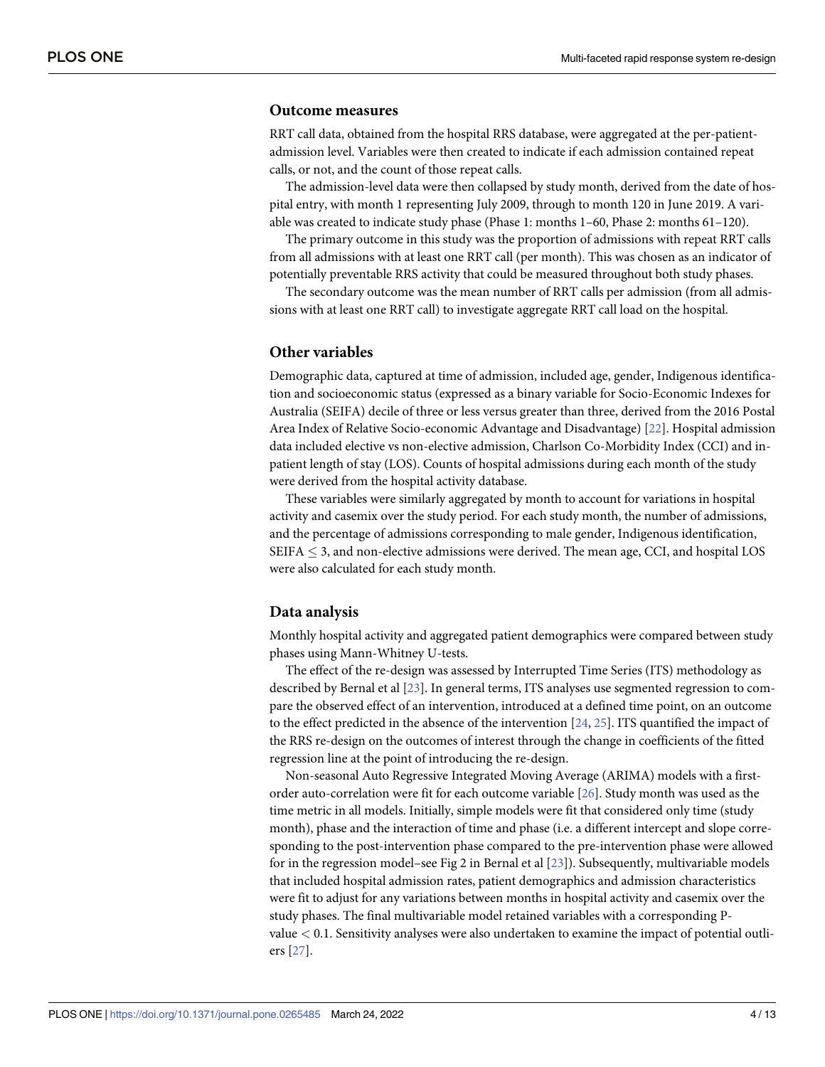#### <span id="page-3-0"></span>**Outcome measures**

RRT call data, obtained from the hospital RRS database, were aggregated at the per-patientadmission level. Variables were then created to indicate if each admission contained repeat calls, or not, and the count of those repeat calls.

The admission-level data were then collapsed by study month, derived from the date of hospital entry, with month 1 representing July 2009, through to month 120 in June 2019. A variable was created to indicate study phase (Phase 1: months 1–60, Phase 2: months 61–120).

The primary outcome in this study was the proportion of admissions with repeat RRT calls from all admissions with at least one RRT call (per month). This was chosen as an indicator of potentially preventable RRS activity that could be measured throughout both study phases.

The secondary outcome was the mean number of RRT calls per admission (from all admissions with at least one RRT call) to investigate aggregate RRT call load on the hospital.

#### **Other variables**

Demographic data, captured at time of admission, included age, gender, Indigenous identification and socioeconomic status (expressed as a binary variable for Socio-Economic Indexes for Australia (SEIFA) decile of three or less versus greater than three, derived from the 2016 Postal Area Index of Relative Socio-economic Advantage and Disadvantage) [[22](#page-12-0)]. Hospital admission data included elective vs non-elective admission, Charlson Co-Morbidity Index (CCI) and inpatient length of stay (LOS). Counts of hospital admissions during each month of the study were derived from the hospital activity database.

These variables were similarly aggregated by month to account for variations in hospital activity and casemix over the study period. For each study month, the number of admissions, and the percentage of admissions corresponding to male gender, Indigenous identification,  $SEIFA < 3$ , and non-elective admissions were derived. The mean age, CCI, and hospital LOS were also calculated for each study month.

#### **Data analysis**

Monthly hospital activity and aggregated patient demographics were compared between study phases using Mann-Whitney U-tests.

The effect of the re-design was assessed by Interrupted Time Series (ITS) methodology as described by Bernal et al [\[23\]](#page-12-0). In general terms, ITS analyses use segmented regression to compare the observed effect of an intervention, introduced at a defined time point, on an outcome to the effect predicted in the absence of the intervention [\[24,](#page-12-0) [25\]](#page-12-0). ITS quantified the impact of the RRS re-design on the outcomes of interest through the change in coefficients of the fitted regression line at the point of introducing the re-design.

Non-seasonal Auto Regressive Integrated Moving Average (ARIMA) models with a firstorder auto-correlation were fit for each outcome variable [[26](#page-12-0)]. Study month was used as the time metric in all models. Initially, simple models were fit that considered only time (study month), phase and the interaction of time and phase (i.e. a different intercept and slope corresponding to the post-intervention phase compared to the pre-intervention phase were allowed for in the regression model–see Fig 2 in Bernal et al [\[23\]](#page-12-0)). Subsequently, multivariable models that included hospital admission rates, patient demographics and admission characteristics were fit to adjust for any variations between months in hospital activity and casemix over the study phases. The final multivariable model retained variables with a corresponding Pvalue *<* 0.1. Sensitivity analyses were also undertaken to examine the impact of potential outliers [\[27\]](#page-12-0).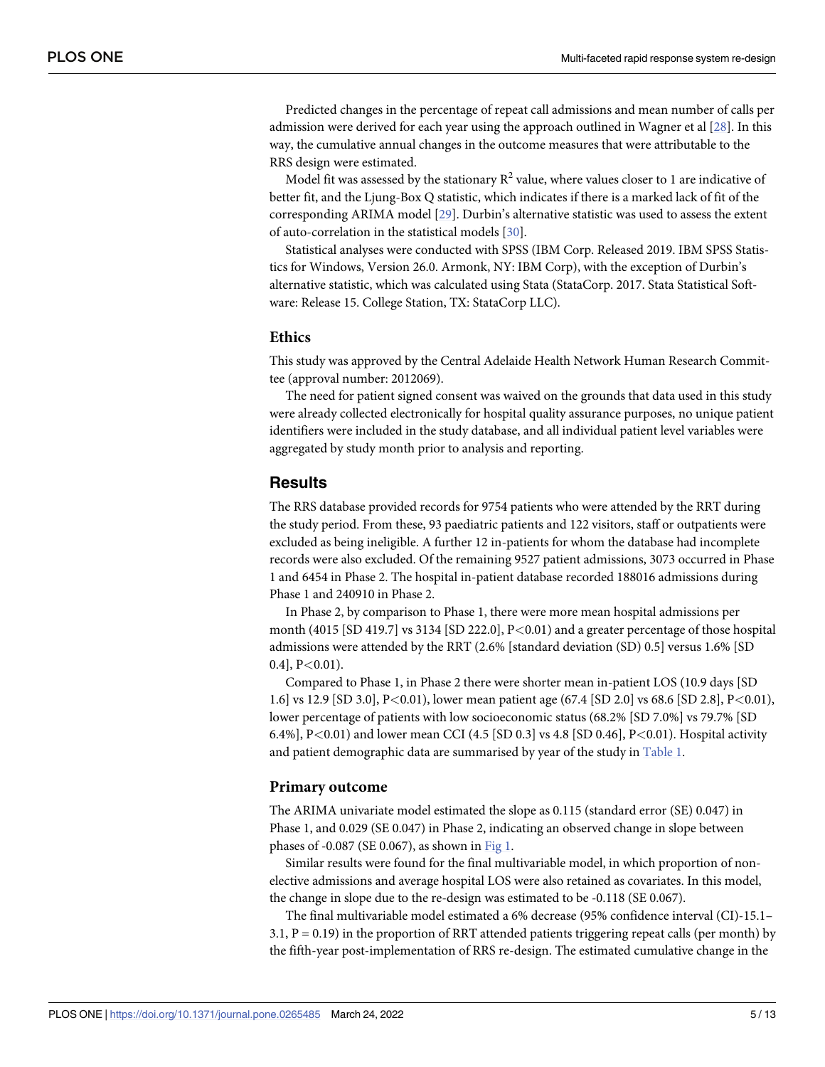<span id="page-4-0"></span>Predicted changes in the percentage of repeat call admissions and mean number of calls per admission were derived for each year using the approach outlined in Wagner et al [[28](#page-12-0)]. In this way, the cumulative annual changes in the outcome measures that were attributable to the RRS design were estimated.

Model fit was assessed by the stationary  $R^2$  value, where values closer to 1 are indicative of better fit, and the Ljung-Box Q statistic, which indicates if there is a marked lack of fit of the corresponding ARIMA model [[29](#page-12-0)]. Durbin's alternative statistic was used to assess the extent of auto-correlation in the statistical models [\[30\]](#page-12-0).

Statistical analyses were conducted with SPSS (IBM Corp. Released 2019. IBM SPSS Statistics for Windows, Version 26.0. Armonk, NY: IBM Corp), with the exception of Durbin's alternative statistic, which was calculated using Stata (StataCorp. 2017. Stata Statistical Software: Release 15. College Station, TX: StataCorp LLC).

#### **Ethics**

This study was approved by the Central Adelaide Health Network Human Research Committee (approval number: 2012069).

The need for patient signed consent was waived on the grounds that data used in this study were already collected electronically for hospital quality assurance purposes, no unique patient identifiers were included in the study database, and all individual patient level variables were aggregated by study month prior to analysis and reporting.

#### **Results**

The RRS database provided records for 9754 patients who were attended by the RRT during the study period. From these, 93 paediatric patients and 122 visitors, staff or outpatients were excluded as being ineligible. A further 12 in-patients for whom the database had incomplete records were also excluded. Of the remaining 9527 patient admissions, 3073 occurred in Phase 1 and 6454 in Phase 2. The hospital in-patient database recorded 188016 admissions during Phase 1 and 240910 in Phase 2.

In Phase 2, by comparison to Phase 1, there were more mean hospital admissions per month (4015 [SD 419.7] vs 3134 [SD 222.0], P*<*0.01) and a greater percentage of those hospital admissions were attended by the RRT (2.6% [standard deviation (SD) 0.5] versus 1.6% [SD 0.4], P*<*0.01).

Compared to Phase 1, in Phase 2 there were shorter mean in-patient LOS (10.9 days [SD 1.6] vs 12.9 [SD 3.0], P*<*0.01), lower mean patient age (67.4 [SD 2.0] vs 68.6 [SD 2.8], P*<*0.01), lower percentage of patients with low socioeconomic status (68.2% [SD 7.0%] vs 79.7% [SD 6.4%], P*<*0.01) and lower mean CCI (4.5 [SD 0.3] vs 4.8 [SD 0.46], P*<*0.01). Hospital activity and patient demographic data are summarised by year of the study in [Table](#page-5-0) 1.

#### **Primary outcome**

The ARIMA univariate model estimated the slope as 0.115 (standard error (SE) 0.047) in Phase 1, and 0.029 (SE 0.047) in Phase 2, indicating an observed change in slope between phases of -0.087 (SE 0.067), as shown in [Fig](#page-5-0) 1.

Similar results were found for the final multivariable model, in which proportion of nonelective admissions and average hospital LOS were also retained as covariates. In this model, the change in slope due to the re-design was estimated to be -0.118 (SE 0.067).

The final multivariable model estimated a 6% decrease (95% confidence interval (CI)-15.1– 3.1,  $P = 0.19$ ) in the proportion of RRT attended patients triggering repeat calls (per month) by the fifth-year post-implementation of RRS re-design. The estimated cumulative change in the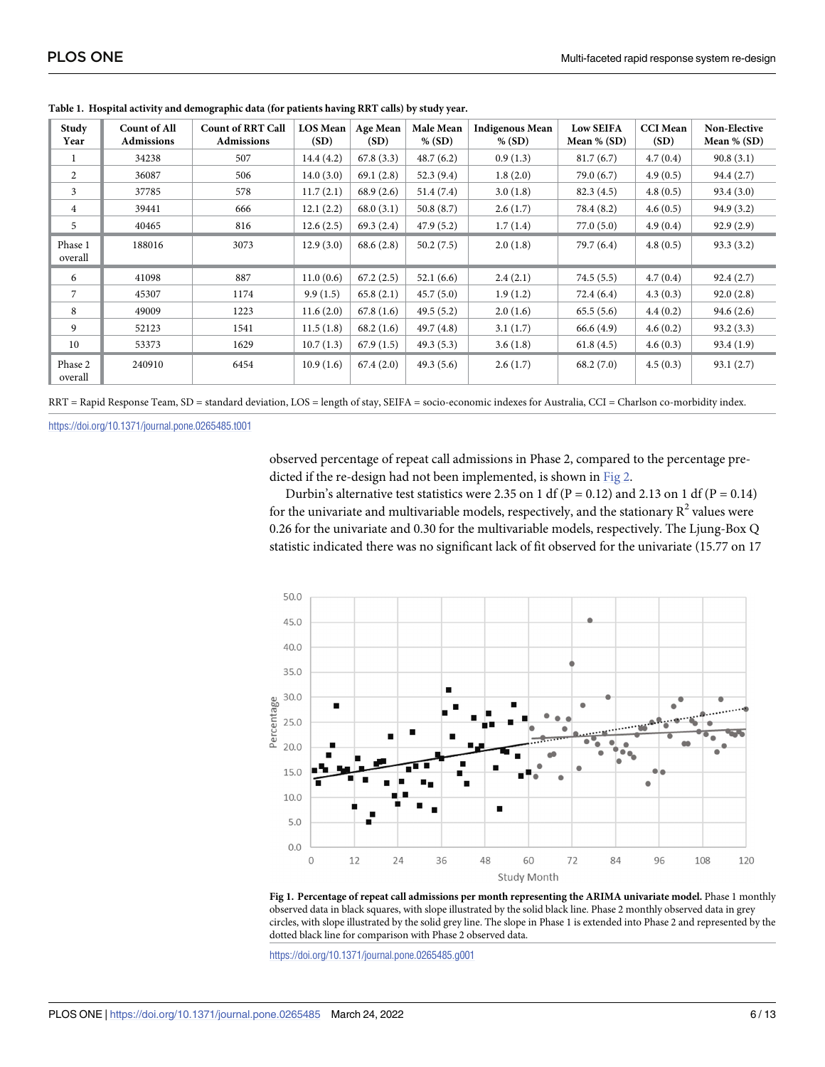| Study<br>Year      | <b>Count of All</b><br><b>Admissions</b> | <b>Count of RRT Call</b><br><b>Admissions</b> | <b>LOS Mean</b><br>(SD) | Age Mean<br>(SD) | Male Mean<br>$%$ (SD) | <b>Indigenous Mean</b><br>$%$ (SD) | <b>Low SEIFA</b><br>Mean $\%$ (SD) | <b>CCI</b> Mean<br>(SD) | <b>Non-Elective</b><br>Mean $%$ (SD) |
|--------------------|------------------------------------------|-----------------------------------------------|-------------------------|------------------|-----------------------|------------------------------------|------------------------------------|-------------------------|--------------------------------------|
|                    | 34238                                    | 507                                           | 14.4(4.2)               | 67.8(3.3)        | 48.7(6.2)             | 0.9(1.3)                           | 81.7(6.7)                          | 4.7(0.4)                | 90.8(3.1)                            |
| 2                  | 36087                                    | 506                                           | 14.0(3.0)               | 69.1(2.8)        | 52.3(9.4)             | 1.8(2.0)                           | 79.0(6.7)                          | 4.9(0.5)                | 94.4 (2.7)                           |
| 3                  | 37785                                    | 578                                           | 11.7(2.1)               | 68.9(2.6)        | 51.4(7.4)             | 3.0(1.8)                           | 82.3(4.5)                          | 4.8(0.5)                | 93.4(3.0)                            |
| $\overline{4}$     | 39441                                    | 666                                           | 12.1(2.2)               | 68.0(3.1)        | 50.8(8.7)             | 2.6(1.7)                           | 78.4 (8.2)                         | 4.6(0.5)                | 94.9(3.2)                            |
| 5                  | 40465                                    | 816                                           | 12.6(2.5)               | 69.3(2.4)        | 47.9(5.2)             | 1.7(1.4)                           | 77.0(5.0)                          | 4.9(0.4)                | 92.9(2.9)                            |
| Phase 1<br>overall | 188016                                   | 3073                                          | 12.9(3.0)               | 68.6(2.8)        | 50.2(7.5)             | 2.0(1.8)                           | 79.7 (6.4)                         | 4.8(0.5)                | 93.3(3.2)                            |
| 6                  | 41098                                    | 887                                           | 11.0(0.6)               | 67.2(2.5)        | 52.1(6.6)             | 2.4(2.1)                           | 74.5(5.5)                          | 4.7(0.4)                | 92.4(2.7)                            |
| 7                  | 45307                                    | 1174                                          | 9.9(1.5)                | 65.8(2.1)        | 45.7(5.0)             | 1.9(1.2)                           | 72.4 (6.4)                         | 4.3(0.3)                | 92.0(2.8)                            |
| 8                  | 49009                                    | 1223                                          | 11.6(2.0)               | 67.8(1.6)        | 49.5(5.2)             | 2.0(1.6)                           | 65.5(5.6)                          | 4.4(0.2)                | 94.6(2.6)                            |
| 9                  | 52123                                    | 1541                                          | 11.5(1.8)               | 68.2(1.6)        | 49.7(4.8)             | 3.1(1.7)                           | 66.6(4.9)                          | 4.6(0.2)                | 93.2(3.3)                            |
| 10                 | 53373                                    | 1629                                          | 10.7(1.3)               | 67.9(1.5)        | 49.3(5.3)             | 3.6(1.8)                           | 61.8(4.5)                          | 4.6(0.3)                | 93.4(1.9)                            |
| Phase 2<br>overall | 240910                                   | 6454                                          | 10.9(1.6)               | 67.4(2.0)        | 49.3(5.6)             | 2.6(1.7)                           | 68.2(7.0)                          | 4.5(0.3)                | 93.1(2.7)                            |

<span id="page-5-0"></span>**[Table](#page-4-0) 1. Hospital activity and demographic data (for patients having RRT calls) by study year.**

RRT = Rapid Response Team, SD = standard deviation, LOS = length of stay, SEIFA = socio-economic indexes for Australia, CCI = Charlson co-morbidity index.

<https://doi.org/10.1371/journal.pone.0265485.t001>

observed percentage of repeat call admissions in Phase 2, compared to the percentage predicted if the re-design had not been implemented, is shown in [Fig](#page-6-0) 2.

Durbin's alternative test statistics were 2.35 on 1 df (P = 0.12) and 2.13 on 1 df (P = 0.14) for the univariate and multivariable models, respectively, and the stationary  $R^2$  values were 0.26 for the univariate and 0.30 for the multivariable models, respectively. The Ljung-Box Q statistic indicated there was no significant lack of fit observed for the univariate (15.77 on 17



**[Fig](#page-4-0) 1. Percentage of repeat call admissions per month representing the ARIMA univariate model.** Phase 1 monthly observed data in black squares, with slope illustrated by the solid black line. Phase 2 monthly observed data in grey circles, with slope illustrated by the solid grey line. The slope in Phase 1 is extended into Phase 2 and represented by the dotted black line for comparison with Phase 2 observed data.

<https://doi.org/10.1371/journal.pone.0265485.g001>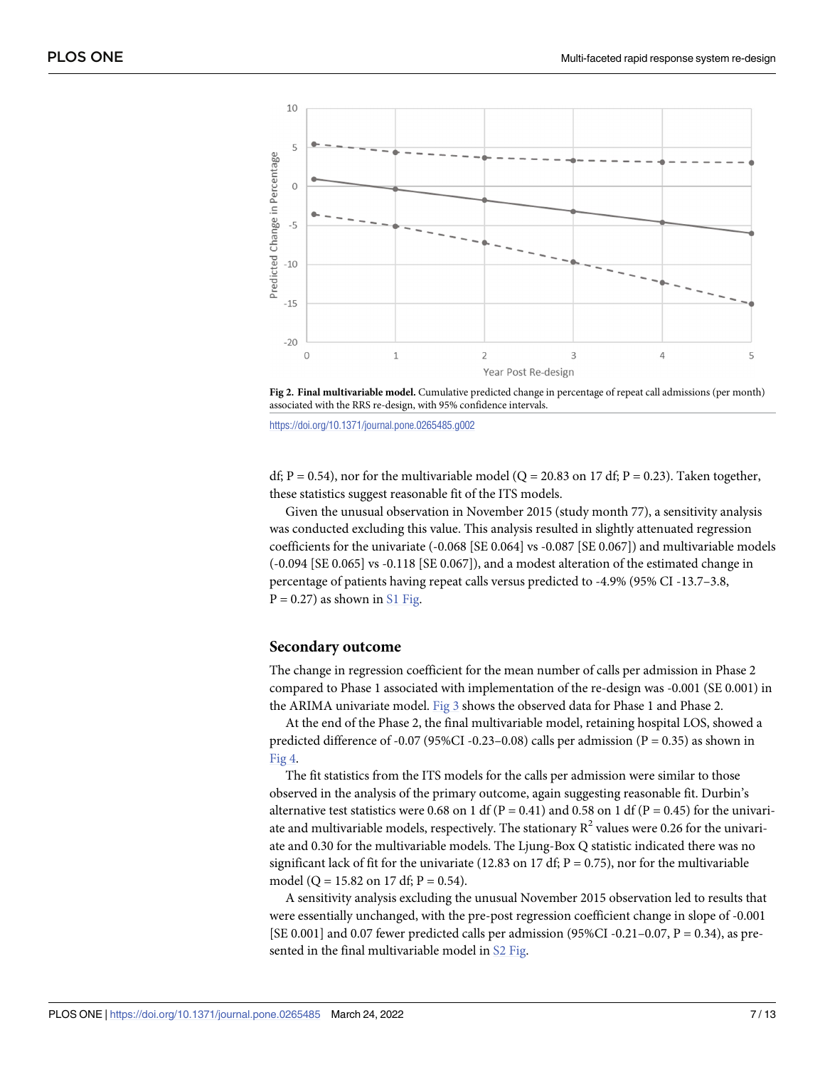<span id="page-6-0"></span>

**[Fig](#page-5-0) 2. Final multivariable model.** Cumulative predicted change in percentage of repeat call admissions (per month) associated with the RRS re-design, with 95% confidence intervals.

<https://doi.org/10.1371/journal.pone.0265485.g002>

df;  $P = 0.54$ ), nor for the multivariable model (Q = 20.83 on 17 df; P = 0.23). Taken together, these statistics suggest reasonable fit of the ITS models.

Given the unusual observation in November 2015 (study month 77), a sensitivity analysis was conducted excluding this value. This analysis resulted in slightly attenuated regression coefficients for the univariate (-0.068 [SE 0.064] vs -0.087 [SE 0.067]) and multivariable models (-0.094 [SE 0.065] vs -0.118 [SE 0.067]), and a modest alteration of the estimated change in percentage of patients having repeat calls versus predicted to -4.9% (95% CI -13.7–3.8,  $P = 0.27$ ) as shown in S1 [Fig](#page-10-0).

#### **Secondary outcome**

The change in regression coefficient for the mean number of calls per admission in Phase 2 compared to Phase 1 associated with implementation of the re-design was -0.001 (SE 0.001) in the ARIMA univariate model. [Fig](#page-7-0) 3 shows the observed data for Phase 1 and Phase 2.

At the end of the Phase 2, the final multivariable model, retaining hospital LOS, showed a predicted difference of -0.07 (95%CI -0.23–0.08) calls per admission ( $P = 0.35$ ) as shown in [Fig](#page-7-0) 4.

The fit statistics from the ITS models for the calls per admission were similar to those observed in the analysis of the primary outcome, again suggesting reasonable fit. Durbin's alternative test statistics were 0.68 on 1 df ( $P = 0.41$ ) and 0.58 on 1 df ( $P = 0.45$ ) for the univariate and multivariable models, respectively. The stationary  $R^2$  values were 0.26 for the univariate and 0.30 for the multivariable models. The Ljung-Box Q statistic indicated there was no significant lack of fit for the univariate (12.83 on 17 df;  $P = 0.75$ ), nor for the multivariable model (Q = 15.82 on 17 df; P = 0.54).

A sensitivity analysis excluding the unusual November 2015 observation led to results that were essentially unchanged, with the pre-post regression coefficient change in slope of -0.001 [SE 0.001] and 0.07 fewer predicted calls per admission (95%CI -0.21-0.07, P = 0.34), as pre-sented in the final multivariable model in S2 [Fig](#page-10-0).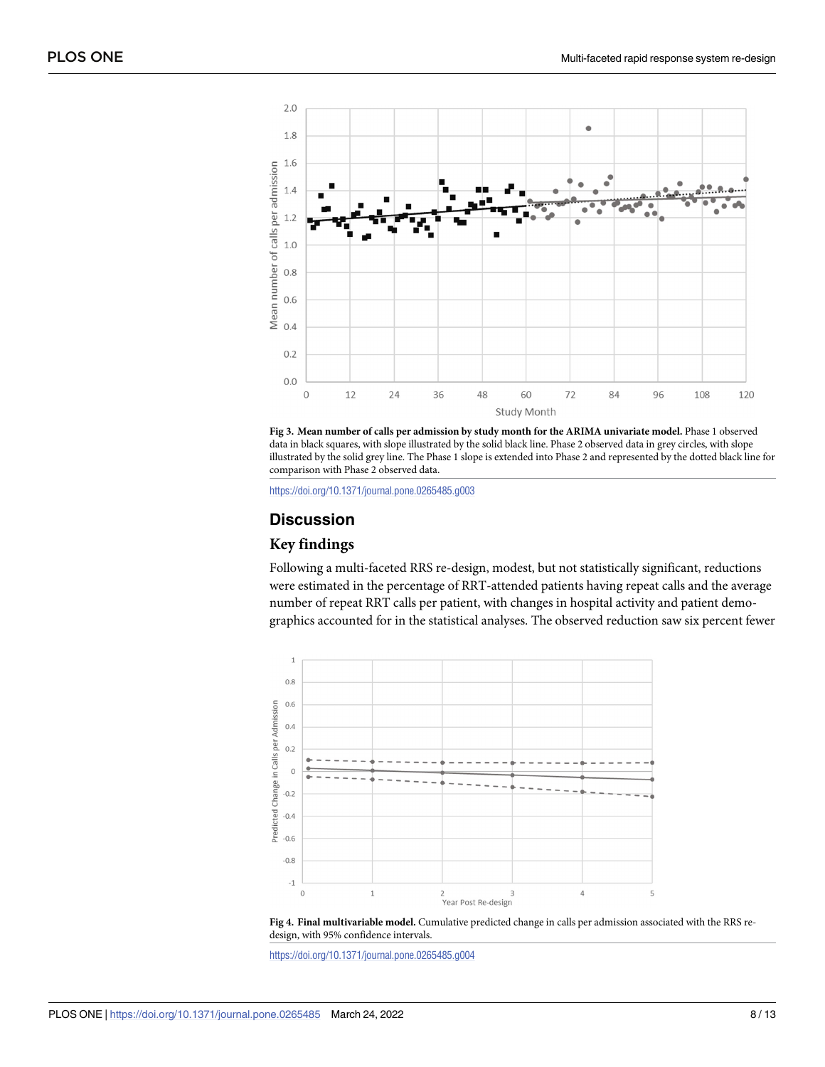<span id="page-7-0"></span>

**[Fig](#page-6-0) 3. Mean number of calls per admission by study month for the ARIMA univariate model.** Phase 1 observed data in black squares, with slope illustrated by the solid black line. Phase 2 observed data in grey circles, with slope illustrated by the solid grey line. The Phase 1 slope is extended into Phase 2 and represented by the dotted black line for comparison with Phase 2 observed data.

<https://doi.org/10.1371/journal.pone.0265485.g003>

## **Discussion**

## **Key findings**

Following a multi-faceted RRS re-design, modest, but not statistically significant, reductions were estimated in the percentage of RRT-attended patients having repeat calls and the average number of repeat RRT calls per patient, with changes in hospital activity and patient demographics accounted for in the statistical analyses. The observed reduction saw six percent fewer



**[Fig](#page-6-0) 4. Final multivariable model.** Cumulative predicted change in calls per admission associated with the RRS redesign, with 95% confidence intervals.

<https://doi.org/10.1371/journal.pone.0265485.g004>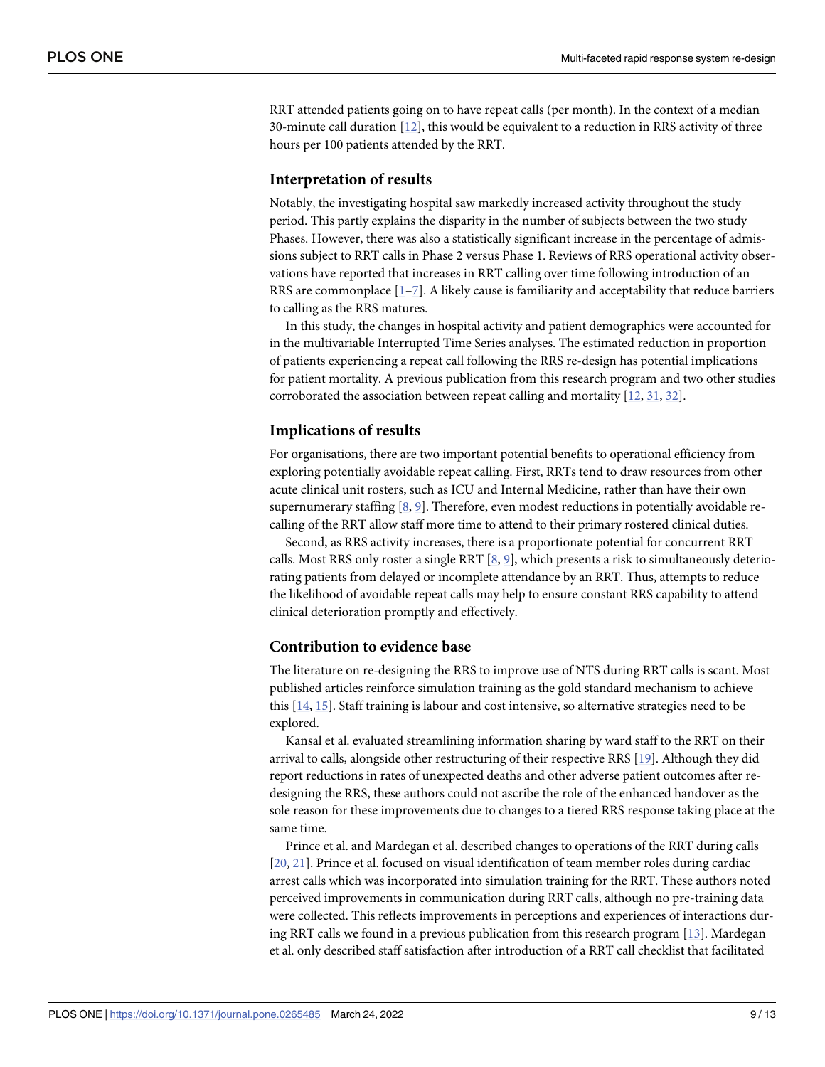<span id="page-8-0"></span>RRT attended patients going on to have repeat calls (per month). In the context of a median 30-minute call duration [\[12\]](#page-11-0), this would be equivalent to a reduction in RRS activity of three hours per 100 patients attended by the RRT.

#### **Interpretation of results**

Notably, the investigating hospital saw markedly increased activity throughout the study period. This partly explains the disparity in the number of subjects between the two study Phases. However, there was also a statistically significant increase in the percentage of admissions subject to RRT calls in Phase 2 versus Phase 1. Reviews of RRS operational activity observations have reported that increases in RRT calling over time following introduction of an RRS are commonplace  $[1–7]$ . A likely cause is familiarity and acceptability that reduce barriers to calling as the RRS matures.

In this study, the changes in hospital activity and patient demographics were accounted for in the multivariable Interrupted Time Series analyses. The estimated reduction in proportion of patients experiencing a repeat call following the RRS re-design has potential implications for patient mortality. A previous publication from this research program and two other studies corroborated the association between repeat calling and mortality [\[12,](#page-11-0) [31,](#page-12-0) [32\]](#page-12-0).

#### **Implications of results**

For organisations, there are two important potential benefits to operational efficiency from exploring potentially avoidable repeat calling. First, RRTs tend to draw resources from other acute clinical unit rosters, such as ICU and Internal Medicine, rather than have their own supernumerary staffing [[8,](#page-11-0) [9\]](#page-11-0). Therefore, even modest reductions in potentially avoidable recalling of the RRT allow staff more time to attend to their primary rostered clinical duties.

Second, as RRS activity increases, there is a proportionate potential for concurrent RRT calls. Most RRS only roster a single RRT  $[8, 9]$  $[8, 9]$  $[8, 9]$  $[8, 9]$ , which presents a risk to simultaneously deteriorating patients from delayed or incomplete attendance by an RRT. Thus, attempts to reduce the likelihood of avoidable repeat calls may help to ensure constant RRS capability to attend clinical deterioration promptly and effectively.

#### **Contribution to evidence base**

The literature on re-designing the RRS to improve use of NTS during RRT calls is scant. Most published articles reinforce simulation training as the gold standard mechanism to achieve this [\[14,](#page-12-0) [15\]](#page-12-0). Staff training is labour and cost intensive, so alternative strategies need to be explored.

Kansal et al. evaluated streamlining information sharing by ward staff to the RRT on their arrival to calls, alongside other restructuring of their respective RRS [[19](#page-12-0)]. Although they did report reductions in rates of unexpected deaths and other adverse patient outcomes after redesigning the RRS, these authors could not ascribe the role of the enhanced handover as the sole reason for these improvements due to changes to a tiered RRS response taking place at the same time.

Prince et al. and Mardegan et al. described changes to operations of the RRT during calls [\[20,](#page-12-0) [21\]](#page-12-0). Prince et al. focused on visual identification of team member roles during cardiac arrest calls which was incorporated into simulation training for the RRT. These authors noted perceived improvements in communication during RRT calls, although no pre-training data were collected. This reflects improvements in perceptions and experiences of interactions during RRT calls we found in a previous publication from this research program [\[13\]](#page-11-0). Mardegan et al. only described staff satisfaction after introduction of a RRT call checklist that facilitated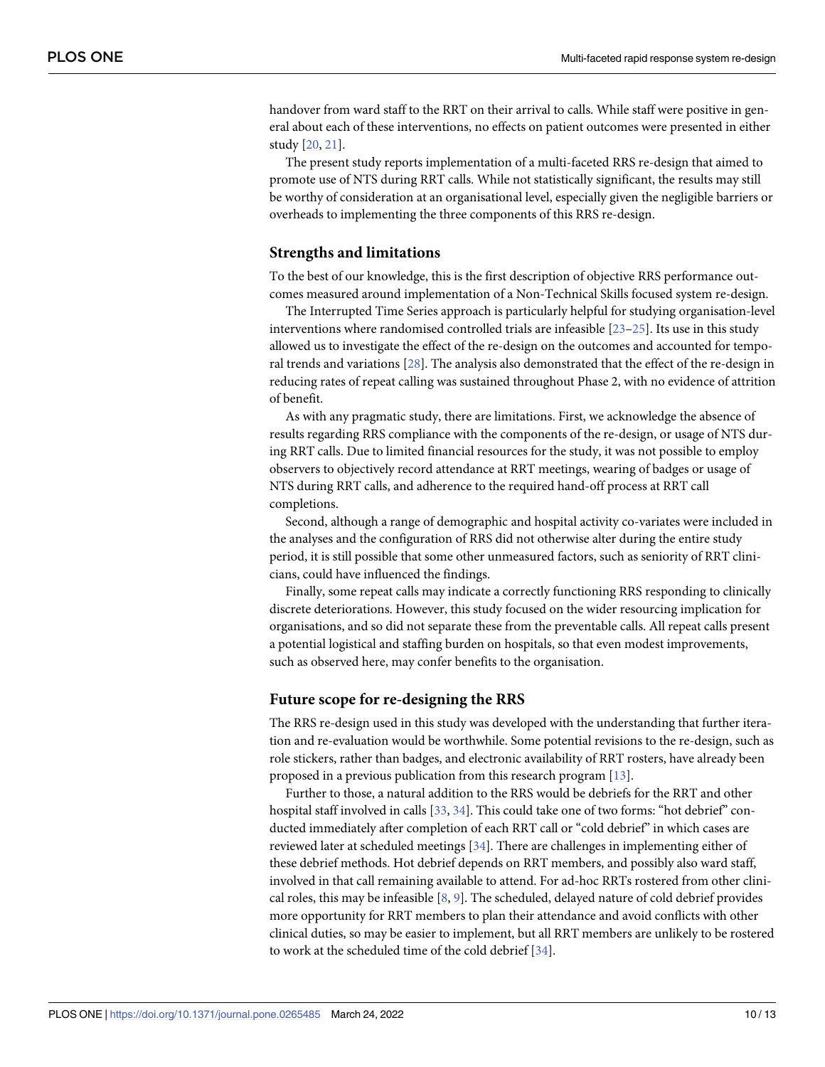<span id="page-9-0"></span>handover from ward staff to the RRT on their arrival to calls. While staff were positive in general about each of these interventions, no effects on patient outcomes were presented in either study [\[20,](#page-12-0) [21\]](#page-12-0).

The present study reports implementation of a multi-faceted RRS re-design that aimed to promote use of NTS during RRT calls. While not statistically significant, the results may still be worthy of consideration at an organisational level, especially given the negligible barriers or overheads to implementing the three components of this RRS re-design.

#### **Strengths and limitations**

To the best of our knowledge, this is the first description of objective RRS performance outcomes measured around implementation of a Non-Technical Skills focused system re-design.

The Interrupted Time Series approach is particularly helpful for studying organisation-level interventions where randomised controlled trials are infeasible [[23](#page-12-0)–[25\]](#page-12-0). Its use in this study allowed us to investigate the effect of the re-design on the outcomes and accounted for temporal trends and variations [[28](#page-12-0)]. The analysis also demonstrated that the effect of the re-design in reducing rates of repeat calling was sustained throughout Phase 2, with no evidence of attrition of benefit.

As with any pragmatic study, there are limitations. First, we acknowledge the absence of results regarding RRS compliance with the components of the re-design, or usage of NTS during RRT calls. Due to limited financial resources for the study, it was not possible to employ observers to objectively record attendance at RRT meetings, wearing of badges or usage of NTS during RRT calls, and adherence to the required hand-off process at RRT call completions.

Second, although a range of demographic and hospital activity co-variates were included in the analyses and the configuration of RRS did not otherwise alter during the entire study period, it is still possible that some other unmeasured factors, such as seniority of RRT clinicians, could have influenced the findings.

Finally, some repeat calls may indicate a correctly functioning RRS responding to clinically discrete deteriorations. However, this study focused on the wider resourcing implication for organisations, and so did not separate these from the preventable calls. All repeat calls present a potential logistical and staffing burden on hospitals, so that even modest improvements, such as observed here, may confer benefits to the organisation.

#### **Future scope for re-designing the RRS**

The RRS re-design used in this study was developed with the understanding that further iteration and re-evaluation would be worthwhile. Some potential revisions to the re-design, such as role stickers, rather than badges, and electronic availability of RRT rosters, have already been proposed in a previous publication from this research program [\[13\]](#page-11-0).

Further to those, a natural addition to the RRS would be debriefs for the RRT and other hospital staff involved in calls [\[33,](#page-12-0) [34\]](#page-12-0). This could take one of two forms: "hot debrief" conducted immediately after completion of each RRT call or "cold debrief" in which cases are reviewed later at scheduled meetings [\[34\]](#page-12-0). There are challenges in implementing either of these debrief methods. Hot debrief depends on RRT members, and possibly also ward staff, involved in that call remaining available to attend. For ad-hoc RRTs rostered from other clinical roles, this may be infeasible [[8](#page-11-0), [9\]](#page-11-0). The scheduled, delayed nature of cold debrief provides more opportunity for RRT members to plan their attendance and avoid conflicts with other clinical duties, so may be easier to implement, but all RRT members are unlikely to be rostered to work at the scheduled time of the cold debrief [\[34\]](#page-12-0).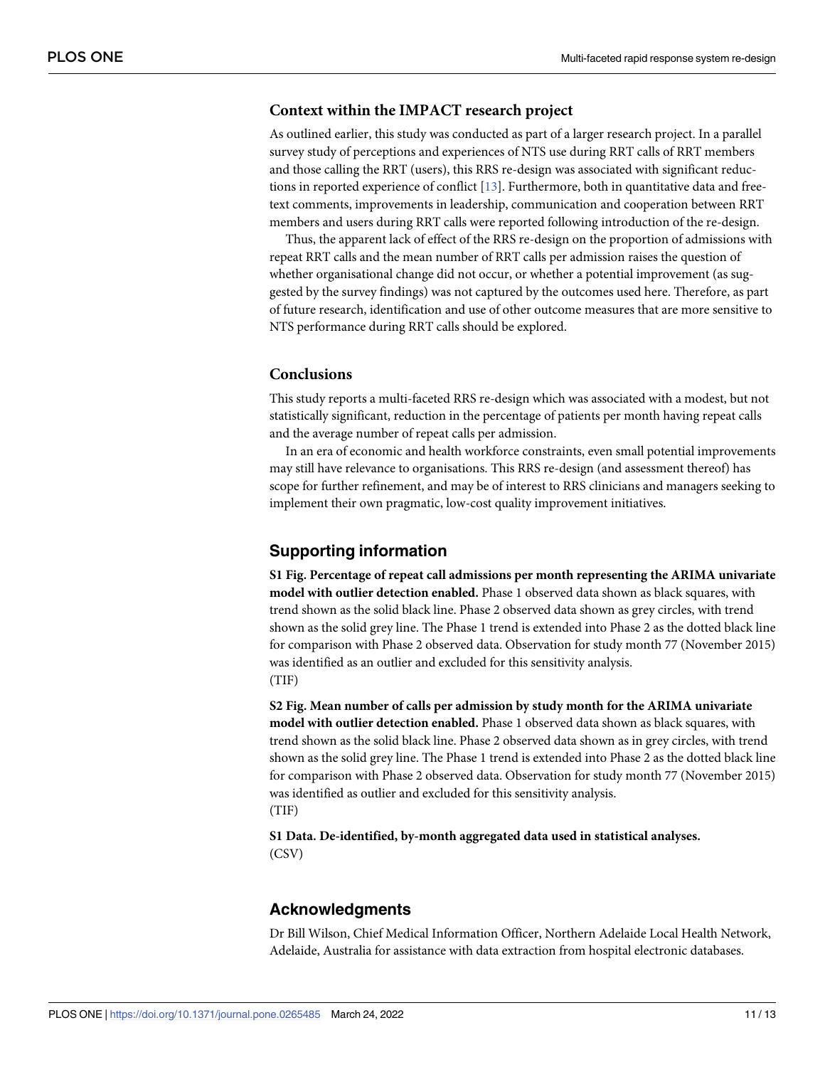#### <span id="page-10-0"></span>**Context within the IMPACT research project**

As outlined earlier, this study was conducted as part of a larger research project. In a parallel survey study of perceptions and experiences of NTS use during RRT calls of RRT members and those calling the RRT (users), this RRS re-design was associated with significant reductions in reported experience of conflict [[13](#page-11-0)]. Furthermore, both in quantitative data and freetext comments, improvements in leadership, communication and cooperation between RRT members and users during RRT calls were reported following introduction of the re-design.

Thus, the apparent lack of effect of the RRS re-design on the proportion of admissions with repeat RRT calls and the mean number of RRT calls per admission raises the question of whether organisational change did not occur, or whether a potential improvement (as suggested by the survey findings) was not captured by the outcomes used here. Therefore, as part of future research, identification and use of other outcome measures that are more sensitive to NTS performance during RRT calls should be explored.

#### **Conclusions**

This study reports a multi-faceted RRS re-design which was associated with a modest, but not statistically significant, reduction in the percentage of patients per month having repeat calls and the average number of repeat calls per admission.

In an era of economic and health workforce constraints, even small potential improvements may still have relevance to organisations. This RRS re-design (and assessment thereof) has scope for further refinement, and may be of interest to RRS clinicians and managers seeking to implement their own pragmatic, low-cost quality improvement initiatives.

#### **Supporting information**

**S1 [Fig](http://www.plosone.org/article/fetchSingleRepresentation.action?uri=info:doi/10.1371/journal.pone.0265485.s001). Percentage of repeat call admissions per month representing the ARIMA univariate model with outlier detection enabled.** Phase 1 observed data shown as black squares, with trend shown as the solid black line. Phase 2 observed data shown as grey circles, with trend shown as the solid grey line. The Phase 1 trend is extended into Phase 2 as the dotted black line for comparison with Phase 2 observed data. Observation for study month 77 (November 2015) was identified as an outlier and excluded for this sensitivity analysis. (TIF)

**S2 [Fig](http://www.plosone.org/article/fetchSingleRepresentation.action?uri=info:doi/10.1371/journal.pone.0265485.s002). Mean number of calls per admission by study month for the ARIMA univariate model with outlier detection enabled.** Phase 1 observed data shown as black squares, with trend shown as the solid black line. Phase 2 observed data shown as in grey circles, with trend shown as the solid grey line. The Phase 1 trend is extended into Phase 2 as the dotted black line for comparison with Phase 2 observed data. Observation for study month 77 (November 2015) was identified as outlier and excluded for this sensitivity analysis. (TIF)

**S1 [Data](http://www.plosone.org/article/fetchSingleRepresentation.action?uri=info:doi/10.1371/journal.pone.0265485.s003). De-identified, by-month aggregated data used in statistical analyses.** (CSV)

#### **Acknowledgments**

Dr Bill Wilson, Chief Medical Information Officer, Northern Adelaide Local Health Network, Adelaide, Australia for assistance with data extraction from hospital electronic databases.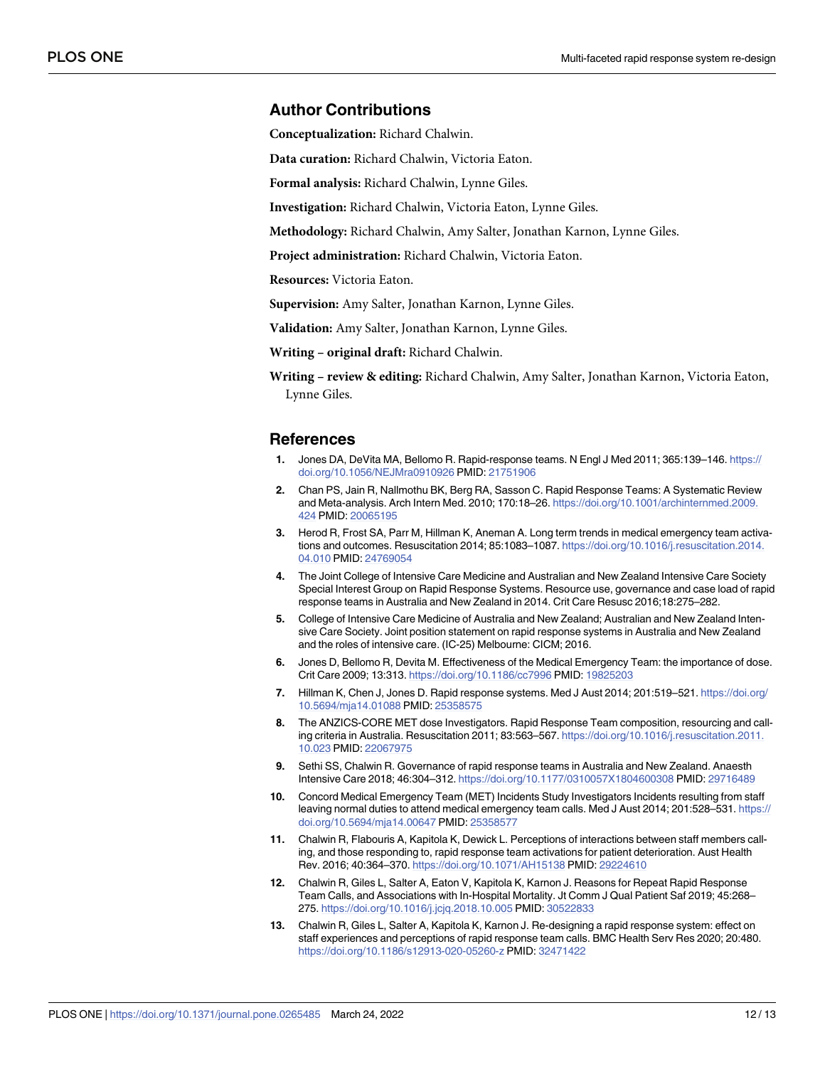#### <span id="page-11-0"></span>**Author Contributions**

**Conceptualization:** Richard Chalwin.

**Data curation:** Richard Chalwin, Victoria Eaton.

**Formal analysis:** Richard Chalwin, Lynne Giles.

**Investigation:** Richard Chalwin, Victoria Eaton, Lynne Giles.

**Methodology:** Richard Chalwin, Amy Salter, Jonathan Karnon, Lynne Giles.

**Project administration:** Richard Chalwin, Victoria Eaton.

**Resources:** Victoria Eaton.

**Supervision:** Amy Salter, Jonathan Karnon, Lynne Giles.

**Validation:** Amy Salter, Jonathan Karnon, Lynne Giles.

**Writing – original draft:** Richard Chalwin.

**Writing – review & editing:** Richard Chalwin, Amy Salter, Jonathan Karnon, Victoria Eaton, Lynne Giles.

#### **References**

- **[1](#page-8-0).** Jones DA, DeVita MA, Bellomo R. Rapid-response teams. N Engl J Med 2011; 365:139–146. [https://](https://doi.org/10.1056/NEJMra0910926) [doi.org/10.1056/NEJMra0910926](https://doi.org/10.1056/NEJMra0910926) PMID: [21751906](http://www.ncbi.nlm.nih.gov/pubmed/21751906)
- **[2](#page-1-0).** Chan PS, Jain R, Nallmothu BK, Berg RA, Sasson C. Rapid Response Teams: A Systematic Review and Meta-analysis. Arch Intern Med. 2010; 170:18–26. [https://doi.org/10.1001/archinternmed.2009.](https://doi.org/10.1001/archinternmed.2009.424) [424](https://doi.org/10.1001/archinternmed.2009.424) PMID: [20065195](http://www.ncbi.nlm.nih.gov/pubmed/20065195)
- **[3](#page-1-0).** Herod R, Frost SA, Parr M, Hillman K, Aneman A. Long term trends in medical emergency team activations and outcomes. Resuscitation 2014; 85:1083–1087. [https://doi.org/10.1016/j.resuscitation.2014.](https://doi.org/10.1016/j.resuscitation.2014.04.010) [04.010](https://doi.org/10.1016/j.resuscitation.2014.04.010) PMID: [24769054](http://www.ncbi.nlm.nih.gov/pubmed/24769054)
- **[4](#page-1-0).** The Joint College of Intensive Care Medicine and Australian and New Zealand Intensive Care Society Special Interest Group on Rapid Response Systems. Resource use, governance and case load of rapid response teams in Australia and New Zealand in 2014. Crit Care Resusc 2016;18:275–282.
- **[5](#page-1-0).** College of Intensive Care Medicine of Australia and New Zealand; Australian and New Zealand Intensive Care Society. Joint position statement on rapid response systems in Australia and New Zealand and the roles of intensive care. (IC-25) Melbourne: CICM; 2016.
- **[6](#page-1-0).** Jones D, Bellomo R, Devita M. Effectiveness of the Medical Emergency Team: the importance of dose. Crit Care 2009; 13:313. <https://doi.org/10.1186/cc7996> PMID: [19825203](http://www.ncbi.nlm.nih.gov/pubmed/19825203)
- **[7](#page-8-0).** Hillman K, Chen J, Jones D. Rapid response systems. Med J Aust 2014; 201:519–521. [https://doi.org/](https://doi.org/10.5694/mja14.01088) [10.5694/mja14.01088](https://doi.org/10.5694/mja14.01088) PMID: [25358575](http://www.ncbi.nlm.nih.gov/pubmed/25358575)
- **[8](#page-8-0).** The ANZICS-CORE MET dose Investigators. Rapid Response Team composition, resourcing and calling criteria in Australia. Resuscitation 2011; 83:563–567. [https://doi.org/10.1016/j.resuscitation.2011.](https://doi.org/10.1016/j.resuscitation.2011.10.023) [10.023](https://doi.org/10.1016/j.resuscitation.2011.10.023) PMID: [22067975](http://www.ncbi.nlm.nih.gov/pubmed/22067975)
- **[9](#page-9-0).** Sethi SS, Chalwin R. Governance of rapid response teams in Australia and New Zealand. Anaesth Intensive Care 2018; 46:304–312. <https://doi.org/10.1177/0310057X1804600308> PMID: [29716489](http://www.ncbi.nlm.nih.gov/pubmed/29716489)
- **[10](#page-1-0).** Concord Medical Emergency Team (MET) Incidents Study Investigators Incidents resulting from staff leaving normal duties to attend medical emergency team calls. Med J Aust 2014; 201:528–531. [https://](https://doi.org/10.5694/mja14.00647) [doi.org/10.5694/mja14.00647](https://doi.org/10.5694/mja14.00647) PMID: [25358577](http://www.ncbi.nlm.nih.gov/pubmed/25358577)
- **[11](#page-2-0).** Chalwin R, Flabouris A, Kapitola K, Dewick L. Perceptions of interactions between staff members calling, and those responding to, rapid response team activations for patient deterioration. Aust Health Rev. 2016; 40:364–370. <https://doi.org/10.1071/AH15138> PMID: [29224610](http://www.ncbi.nlm.nih.gov/pubmed/29224610)
- **[12](#page-8-0).** Chalwin R, Giles L, Salter A, Eaton V, Kapitola K, Karnon J. Reasons for Repeat Rapid Response Team Calls, and Associations with In-Hospital Mortality. Jt Comm J Qual Patient Saf 2019; 45:268– 275. <https://doi.org/10.1016/j.jcjq.2018.10.005> PMID: [30522833](http://www.ncbi.nlm.nih.gov/pubmed/30522833)
- **[13](#page-10-0).** Chalwin R, Giles L, Salter A, Kapitola K, Karnon J. Re-designing a rapid response system: effect on staff experiences and perceptions of rapid response team calls. BMC Health Serv Res 2020; 20:480. <https://doi.org/10.1186/s12913-020-05260-z> PMID: [32471422](http://www.ncbi.nlm.nih.gov/pubmed/32471422)